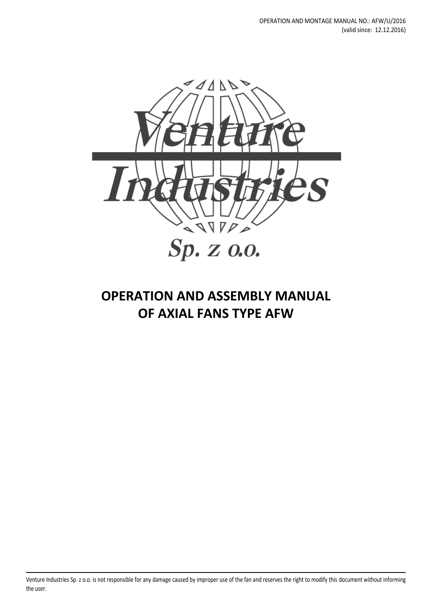

# **OPERATION AND ASSEMBLY MANUAL OF AXIAL FANS TYPE AFW**

Venture Industries Sp. z o.o. is not responsible for any damage caused by improper use of the fan and reserves the right to modify this document without informing the user.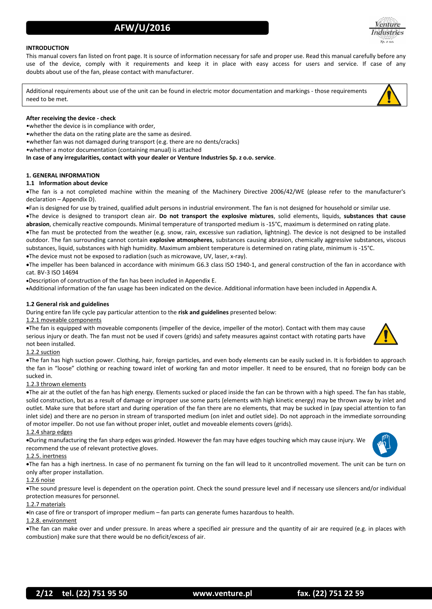# **INTRODUCTION**

This manual covers fan listed on front page. It is source of information necessary for safe and proper use. Read this manual carefully before any use of the device, comply with it requirements and keep it in place with easy access for users and service. If case of any doubts about use of the fan, please contact with manufacturer.

Additional requirements about use of the unit can be found in electric motor documentation and markings - those requirements need to be met.

# **After receiving the device - check**

•whether the device is in compliance with order,

•whether the data on the rating plate are the same as desired.

•whether fan was not damaged during transport (e.g. there are no dents/cracks)

•whether a motor documentation (containing manual) is attached

**In case of any irregularities, contact with your dealer or Venture Industries Sp. z o.o. service**.

# **1. GENERAL INFORMATION**

# **1.1 Information about device**

The fan is a not completed machine within the meaning of the Machinery Directive 2006/42/WE (please refer to the manufacturer's declaration – Appendix D).

Fan is designed for use by trained, qualified adult persons in industrial environment. The fan is not designed for household or similar use.

The device is designed to transport clean air. **Do not transport the explosive mixtures**, solid elements, liquids, **substances that cause abrasion**, chemically reactive compounds. Minimal temperature of transported medium is -15°C, maximum is determined on rating plate.

The fan must be protected from the weather (e.g. snow, rain, excessive sun radiation, lightning). The device is not designed to be installed outdoor. The fan surrounding cannot contain **explosive atmospheres**, substances causing abrasion, chemically aggressive substances, viscous substances, liquid, substances with high humidity. Maximum ambient temperature is determined on rating plate, minimum is -15°C.

The device must not be exposed to radiation (such as microwave, UV, laser, x-ray).

The impeller has been balanced in accordance with minimum G6.3 class ISO 1940-1, and general construction of the fan in accordance with cat. BV-3 ISO 14694

Description of construction of the fan has been included in Appendix E.

Additional information of the fan usage has been indicated on the device. Additional information have been included in Appendix A.

# **1.2 General risk and guidelines**

During entire fan life cycle pay particular attention to the **risk and guidelines** presented below:

# 1.2.1 moveable components

The fan is equipped with moveable components (impeller of the device, impeller of the motor). Contact with them may cause serious injury or death. The fan must not be used if covers (grids) and safety measures against contact with rotating parts have not been installed.

# 1.2.2 suction

The fan has high suction power. Clothing, hair, foreign particles, and even body elements can be easily sucked in. It is forbidden to approach the fan in "loose" clothing or reaching toward inlet of working fan and motor impeller. It need to be ensured, that no foreign body can be sucked in.

# 1.2.3 thrown elements

The air at the outlet of the fan has high energy. Elements sucked or placed inside the fan can be thrown with a high speed. The fan has stable, solid construction, but as a result of damage or improper use some parts (elements with high kinetic energy) may be thrown away by inlet and outlet. Make sure that before start and during operation of the fan there are no elements, that may be sucked in (pay special attention to fan inlet side) and there are no person in stream of transported medium (on inlet and outlet side). Do not approach in the immediate sorrounding of motor impeller. Do not use fan without proper inlet, outlet and moveable elements covers (grids).

# 1.2.4 sharp edges

During manufacturing the fan sharp edges was grinded. However the fan may have edges touching which may cause injury. We recommend the use of relevant protective gloves.

# 1.2.5. inertness

The fan has a high inertness. In case of no permanent fix turning on the fan will lead to it uncontrolled movement. The unit can be turn on only after proper installation.

# 1.2.6 noise

The sound pressure level is dependent on the operation point. Check the sound pressure level and if necessary use silencers and/or individual protection measures for personnel.

# 1.2.7 materials

In case of fire or transport of improper medium – fan parts can generate fumes hazardous to health.

# 1.2.8. environment

The fan can make over and under pressure. In areas where a specified air pressure and the quantity of air are required (e.g. in places with combustion) make sure that there would be no deficit/excess of air.





enture

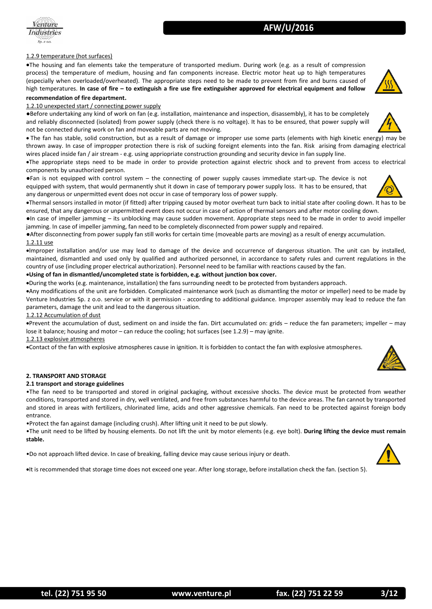

# 1.2.9 temperature (hot surfaces)

The housing and fan elements take the temperature of transported medium. During work (e.g. as a result of compression process) the temperature of medium, housing and fan components increase. Electric motor heat up to high temperatures (especially when overloaded/overheated). The appropriate steps need to be made to prevent from fire and burns caused of high temperatures. **In case of fire – to extinguish a fire use fire extinguisher approved for electrical equipment and follow** 

# **recommendation of fire department**.

# 1.2.10 unexpected start / connecting power supply

●Before undertaking any kind of work on fan (e.g. installation, maintenance and inspection, disassembly), it has to be completely and reliably disconnected (isolated) from power supply (check there is no voltage). It has to be ensured, that power supply will not be connected during work on fan and moveable parts are not moving.

 The fan has stable, solid construction, but as a result of damage or improper use some parts (elements with high kinetic energy) may be thrown away. In case of impropper protection there is risk of sucking foreignt elements into the fan. Risk arising from damaging electrical wires placed inside fan / air stream - e.g. using appriopriate construction grounding and security device in fan supply line.

**AFW/U/2016**

The appropriate steps need to be made in order to provide protection against electric shock and to prevent from access to electrical components by unauthorized person.

●Fan is not equipped with control system – the connecting of power supply causes immediate start-up. The device is not equipped with system, that would permanently shut it down in case of temporary power supply loss. It has to be ensured, that any dangerous or unpermitted event does not occur in case of temporary loss of power supply.

Thermal sensors installed in motor (if fitted) after tripping caused by motor overheat turn back to initial state after cooling down. It has to be ensured, that any dangerous or unpermitted event does not occur in case of action of thermal sensors and after motor cooling down.

●In case of impeller jamming – its unblocking may cause sudden movement. Appropriate steps need to be made in order to avoid impeller jamming. In case of impeller jamming, fan need to be completely disconnected from power supply and repaired.

●After disconnecting from power supply fan still works for certain time (moveable parts are moving) as a result of energy accumulation. 1.2.11 use

Improper installation and/or use may lead to damage of the device and occurrence of dangerous situation. The unit can by installed, maintained, dismantled and used only by qualified and authorized personnel, in accordance to safety rules and current regulations in the country of use (including proper electrical authorization). Personnel need to be familiar with reactions caused by the fan.

# **Using of fan in dismantled/uncompleted state is forbidden, e.g. without junction box cover.**

During the works (e.g. maintenance, installation) the fans surrounding needt to be protected from bystanders approach.

Any modifications of the unit are forbidden. Complicated maintenance work (such as dismantling the motor or impeller) need to be made by Venture Industries Sp. z o.o. service or with it permission - according to additional guidance. Improper assembly may lead to reduce the fan parameters, damage the unit and lead to the dangerous situation.

#### 1.2.12 Accumulation of dust

Prevent the accumulation of dust, sediment on and inside the fan. Dirt accumulated on: grids – reduce the fan parameters; impeller – may lose it balance; housing and motor – can reduce the cooling; hot surfaces (see 1.2.9) – may ignite.

#### 1.2.13 explosive atmospheres

Contact of the fan with explosive atmospheres cause in ignition. It is forbidden to contact the fan with explosive atmospheres.

# **2. TRANSPORT AND STORAGE**

# **2.1 transport and storage guidelines**

•The fan need to be transported and stored in original packaging, without excessive shocks. The device must be protected from weather conditions, transported and stored in dry, well ventilated, and free from substances harmful to the device areas. The fan cannot by transported and stored in areas with fertilizers, chlorinated lime, acids and other aggressive chemicals. Fan need to be protected against foreign body entrance.

•Protect the fan against damage (including crush). After lifting unit it need to be put slowly.

•The unit need to be lifted by housing elements. Do not lift the unit by motor elements (e.g. eye bolt). **During lifting the device must remain stable.**

•Do not approach lifted device. In case of breaking, falling device may cause serious injury or death.

It is recommended that storage time does not exceed one year. After long storage, before installation check the fan. (section 5).





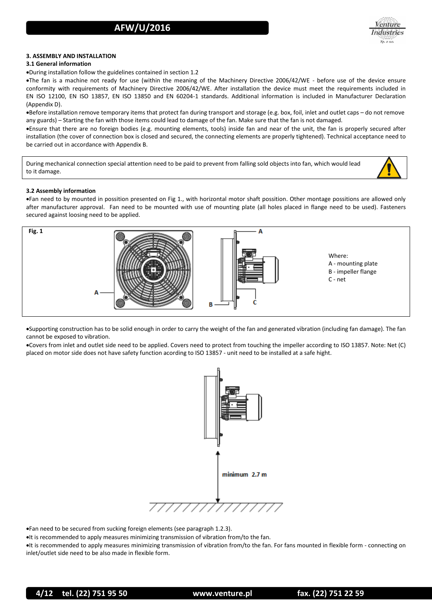

# **3. ASSEMBLY AND INSTALLATION**

# **3.1 General information**

During installation follow the guidelines contained in section 1.2

The fan is a machine not ready for use (within the meaning of the Machinery Directive 2006/42/WE - before use of the device ensure conformity with requirements of Machinery Directive 2006/42/WE. After installation the device must meet the requirements included in EN ISO 12100, EN ISO 13857, EN ISO 13850 and EN 60204-1 standards. Additional information is included in Manufacturer Declaration (Appendix D).

Before installation remove temporary items that protect fan during transport and storage (e.g. box, foil, inlet and outlet caps – do not remove any guards) – Starting the fan with those items could lead to damage of the fan. Make sure that the fan is not damaged.

Ensure that there are no foreign bodies (e.g. mounting elements, tools) inside fan and near of the unit, the fan is properly secured after installation (the cover of connection box is closed and secured, the connecting elements are properly tightened). Technical acceptance need to be carried out in accordance with Appendix B.

During mechanical connection special attention need to be paid to prevent from falling sold objects into fan, which would lead to it damage.



Fan need to by mounted in possition presented on Fig 1., with horizontal motor shaft possition. Other montage possitions are allowed only after manufacturer approval. Fan need to be mounted with use of mounting plate (all holes placed in flange need to be used). Fasteners secured against loosing need to be applied.



Supporting construction has to be solid enough in order to carry the weight of the fan and generated vibration (including fan damage). The fan cannot be exposed to vibration.

Covers from inlet and outlet side need to be applied. Covers need to protect from touching the impeller according to ISO 13857. Note: Net (C) placed on motor side does not have safety function acording to ISO 13857 - unit need to be installed at a safe hight.



Fan need to be secured from sucking foreign elements (see paragraph 1.2.3).

It is recommended to apply measures minimizing transmission of vibration from/to the fan.

It is recommended to apply measures minimizing transmission of vibration from/to the fan. For fans mounted in flexible form - connecting on inlet/outlet side need to be also made in flexible form.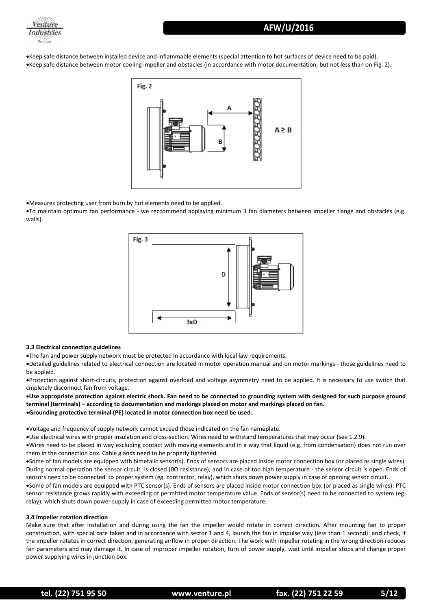



Keep safe distance between installed device and inflammable elements (special attention to hot surfaces of device need to be paid). Keep safe distance between motor cooling impeller and obstacles (in accordance with motor documentation, but not less than on Fig. 2).



Measures protecting user from burn by hot elements need to be applied.

To maintain optimum fan performance - we reccommend applaying minimum 3 fan diameters between impeller flange and obstacles (e.g. walls).



# **3.3 Electrical connection guidelines**

The fan and power supply network must be protected in accordance with local law requirements.

Detailed guidelines related to electrical connection are located in motor operation manual and on motor markings - those guidelines need to be applied.

Protection against short-circuits, protection against overload and voltage asymmetry need to be applied. It is necessary to use switch that cmpletely disconnect fan from voltage.

**Use appropriate protection against electric shock. Fan need to be connected to grounding system with designed for such purpose ground terminal (terminals) – according to documentation and markings placed on motor and markings placed on fan. Grounding protective terminal (PE) located in motor connection box need be used.**

Voltage and frequency of supply network cannot exceed those indicated on the fan nameplate.

Use electrical wires with proper insulation and cross-section. Wires need to withstand temperatures that may occur (see 1.2.9).

Wires need to be placed in way excluding contact with moving elements and in a way that liquid (e.g. from condensation) does not run over them in the connection box. Cable glands need to be properly tightened.

Some of fan models are equipped with bimetalic sensor(s). Ends of sensors are placed inside motor connection box (or placed as single wires). During normal operation the sensor circuit is closed (0Ω resistance), and in case of too high temperature - the sensor circuit is open. Ends of sensors need to be connected to proper system (eg. contractor, relay), which shuts down power supply in case of opening sensor circuit.

Some of fan models are equipped with PTC sensor(s). Ends of sensors are placed inside motor connection box (or placed as single wires). PTC sensor resistance grows rapidly with exceeding of permitted motor temperature value. Ends of sensor(s) need to be connected to system (eg. relay), which shuts down power supply in case of exceeding permitted motor temperature.

# **3.4 Impeller rotation direction**

Make sure that after installation and during using the fan the impeller would rotate in correct direction. After mounting fan to proper construction, with special care taken and in accordance with sector 1 and 4, launch the fan in impulse way (less than 1 second) and check, if the impeller rotates in correct direction, generating airflow in proper direction. The work with impeller rotating in the wrong direction reduces fan parameters and may damage it. In case of improper impeller rotation, turn of power supply, wait until impeller stops and change proper power supplying wires in junction box.

**tel. (22) 751 95 50 www.venture.pl fax. (22) 751 22 59 5/12**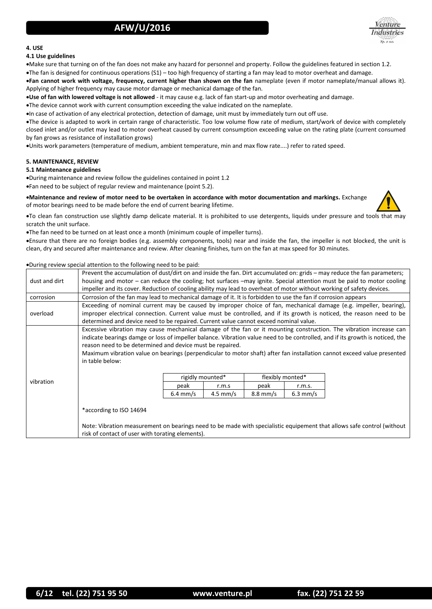

# **4. USE**

# **4.1 Use guidelines**

Make sure that turning on of the fan does not make any hazard for personnel and property. Follow the guidelines featured in section 1.2. The fan is designed for continuous operations (S1) – too high frequency of starting a fan may lead to motor overheat and damage.

**Fan cannot work with voltage, frequency, current higher than shown on the fan** nameplate (even if motor nameplate/manual allows it). Applying of higher frequency may cause motor damage or mechanical damage of the fan.

**Use of fan with lowered voltage is not allowed** - it may cause e.g. lack of fan start-up and motor overheating and damage.

The device cannot work with current consumption exceeding the value indicated on the nameplate.

In case of activation of any electrical protection, detection of damage, unit must by immediately turn out off use.

The device is adapted to work in certain range of characteristic. Too low volume flow rate of medium, start/work of device with completely closed inlet and/or outlet may lead to motor overheat caused by current consumption exceeding value on the rating plate (current consumed by fan grows as resistance of installation grows)

Units work parameters (temperature of medium, ambient temperature, min and max flow rate....) refer to rated speed.

# **5. MAINTENANCE, REVIEW**

# **5.1 Maintenance guidelines**

During maintenance and review follow the guidelines contained in point 1.2 Fan need to be subject of regular review and maintenance (point 5.2).

**Maintenance and review of motor need to be overtaken in accordance with motor documentation and markings.** Exchange of motor bearings need to be made before the end of current bearing lifetime.



To clean fan construction use slightly damp delicate material. It is prohibited to use detergents, liquids under pressure and tools that may scratch the unit surface.

The fan need to be turned on at least once a month (minimum couple of impeller turns).

Ensure that there are no foreign bodies (e.g. assembly components, tools) near and inside the fan, the impeller is not blocked, the unit is clean, dry and secured after maintenance and review. After cleaning finishes, turn on the fan at max speed for 30 minutes.

# During review special attention to the following need to be paid:

| dust and dirt | Prevent the accumulation of dust/dirt on and inside the fan. Dirt accumulated on: grids – may reduce the fan parameters;<br>housing and motor – can reduce the cooling; hot surfaces –may ignite. Special attention must be paid to motor cooling                                                                                                                                                                                                              |                    |            |                    |            |  |  |
|---------------|----------------------------------------------------------------------------------------------------------------------------------------------------------------------------------------------------------------------------------------------------------------------------------------------------------------------------------------------------------------------------------------------------------------------------------------------------------------|--------------------|------------|--------------------|------------|--|--|
|               | impeller and its cover. Reduction of cooling ability may lead to overheat of motor without working of safety devices.                                                                                                                                                                                                                                                                                                                                          |                    |            |                    |            |  |  |
| corrosion     | Corrosion of the fan may lead to mechanical damage of it. It is forbidden to use the fan if corrosion appears                                                                                                                                                                                                                                                                                                                                                  |                    |            |                    |            |  |  |
| overload      | Exceeding of nominal current may be caused by improper choice of fan, mechanical damage (e.g. impeller, bearing),                                                                                                                                                                                                                                                                                                                                              |                    |            |                    |            |  |  |
|               | improper electrical connection. Current value must be controlled, and if its growth is noticed, the reason need to be                                                                                                                                                                                                                                                                                                                                          |                    |            |                    |            |  |  |
|               | determined and device need to be repaired. Current value cannot exceed nominal value.                                                                                                                                                                                                                                                                                                                                                                          |                    |            |                    |            |  |  |
|               | Excessive vibration may cause mechanical damage of the fan or it mounting construction. The vibration increase can<br>indicate bearings damge or loss of impeller balance. Vibration value need to be controlled, and if its growth is noticed, the<br>reason need to be determined and device must be repaired.<br>Maximum vibration value on bearings (perpendicular to motor shaft) after fan installation cannot exceed value presented<br>in table below: |                    |            |                    |            |  |  |
| vibration     |                                                                                                                                                                                                                                                                                                                                                                                                                                                                | rigidly mounted*   |            | flexibly monted*   |            |  |  |
|               |                                                                                                                                                                                                                                                                                                                                                                                                                                                                | peak               | r.m.s      | peak               | r.m.s.     |  |  |
|               |                                                                                                                                                                                                                                                                                                                                                                                                                                                                | $6.4 \text{ mm/s}$ | $4.5$ mm/s | $8.8 \text{ mm/s}$ | $6.3$ mm/s |  |  |
|               | *according to ISO 14694                                                                                                                                                                                                                                                                                                                                                                                                                                        |                    |            |                    |            |  |  |
|               | Note: Vibration measurement on bearings need to be made with specialistic equipement that allows safe control (without                                                                                                                                                                                                                                                                                                                                         |                    |            |                    |            |  |  |
|               | risk of contact of user with torating elements).                                                                                                                                                                                                                                                                                                                                                                                                               |                    |            |                    |            |  |  |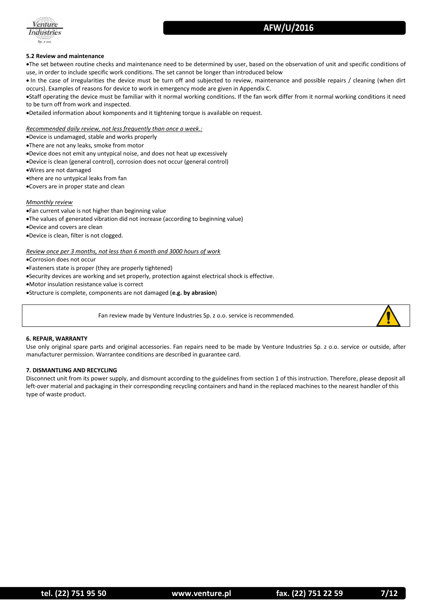

# **5.2 Review and maintenance**

The set between routine checks and maintenance need to be determined by user, based on the observation of unit and specific conditions of use, in order to include specific work conditions. The set cannot be longer than introduced below

 In the case of irregularities the device must be turn off and subjected to review, maintenance and possible repairs / cleaning (when dirt occurs). Examples of reasons for device to work in emergency mode are given in Appendix C.

Staff operating the device must be familiar with it normal working conditions. If the fan work differ from it normal working conditions it need to be turn off from work and inspected.

Detailed information about komponents and it tightening torque is available on request.

*Recommended daily review, not less frequently than once a week.:*

Device is undamaged, stable and works properly

There are not any leaks, smoke from motor

Device does not emit any untypical noise, and does not heat up excessively

Device is clean (general control), corrosion does not occur (general control)

Wires are not damaged

there are no untypical leaks from fan

Covers are in proper state and clean

# *Mmonthly review*

Fan current value is not higher than beginning value

The values of generated vibration did not increase (according to beginning value)

Device and covers are clean

Device is clean, filter is not clogged.

*Review once per 3 months, not less than 6 month and 3000 hours of work*

Corrosion does not occur

Fasteners state is proper (they are properly tightened)

Security devices are working and set properly, protection against electrical shock is effective.

Motor insulation resistance value is correct

Structure is complete, components are not damaged (**e.g. by abrasion**)

Fan review made by Venture Industries Sp. z o.o. service is recommended.



# **6. REPAIR, WARRANTY**

Use only original spare parts and original accessories. Fan repairs need to be made by Venture Industries Sp. z o.o. service or outside, after manufacturer permission. Warrantee conditions are described in guarantee card.

# **7. DISMANTLING AND RECYCLING**

Disconnect unit from its power supply, and dismount according to the guidelines from section 1 of this instruction. Therefore, please deposit all left-over material and packaging in their corresponding recycling containers and hand in the replaced machines to the nearest handler of this type of waste product.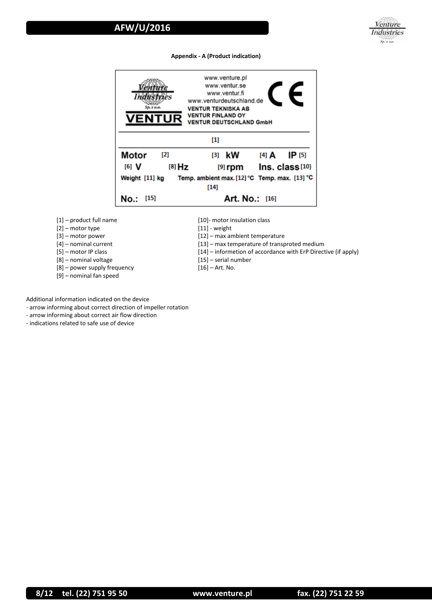

# **Appendix - A (Product indication)**



- [1] product full name
- [2] motor type
- [3] motor power
- [4] nominal current
- [5] motor IP class
- [8] nominal voltage
- [8] power supply frequency
- [9] nominal fan speed
- [10]- motor insulation class
- [11] weight
- [12] max ambient temperature
- [13] max temperature of transproted medium
- [14] informetion of accordance with ErP Directive (if apply)
- [15] serial number
- [16] Art. No.

Additional information indicated on the device

- arrow informing about correct direction of impeller rotation
- arrow informing about correct air flow direction

- indications related to safe use of device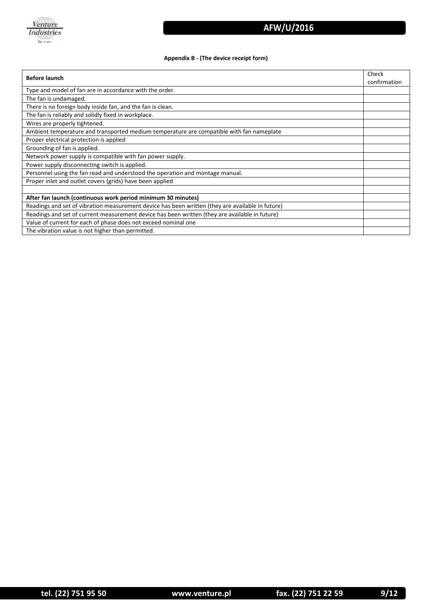

# **Appendix B - (The device receipt form)**

| <b>Before launch</b>                                                                             |              |  |
|--------------------------------------------------------------------------------------------------|--------------|--|
|                                                                                                  | confirmation |  |
| Type and model of fan are in accordance with the order.                                          |              |  |
| The fan is undamaged.                                                                            |              |  |
| There is no foreign body inside fan, and the fan is clean.                                       |              |  |
| The fan is reliably and solidly fixed in workplace.                                              |              |  |
| Wires are properly tightened.                                                                    |              |  |
| Ambient temperature and transported medium temperature are compatible with fan nameplate         |              |  |
| Proper electrical protection is applied                                                          |              |  |
| Grounding of fan is applied.                                                                     |              |  |
| Network power supply is compatible with fan power supply.                                        |              |  |
| Power supply disconnecting switch is applied.                                                    |              |  |
| Personnel using the fan read and understood the operation and montage manual.                    |              |  |
| Proper inlet and outlet covers (grids) have been applied                                         |              |  |
|                                                                                                  |              |  |
| After fan launch (continuous work period minimum 30 minutes)                                     |              |  |
| Readings and set of vibration measurement device has been written (they are available in future) |              |  |
| Readings and set of current measurement device has been written (they are available in future)   |              |  |
| Value of current for each of phase does not exceed nominal one                                   |              |  |
| The vibration value is not higher than permitted.                                                |              |  |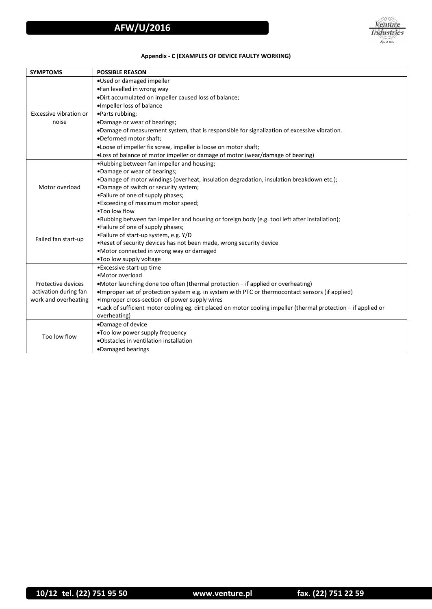# **Appendix - C (EXAMPLES OF DEVICE FAULTY WORKING)**

| <b>SYMPTOMS</b>                 | <b>POSSIBLE REASON</b>                                                                                                          |  |  |
|---------------------------------|---------------------------------------------------------------------------------------------------------------------------------|--|--|
|                                 | .Used or damaged impeller                                                                                                       |  |  |
| Excessive vibration or<br>noise | .Fan levelled in wrong way                                                                                                      |  |  |
|                                 | .Dirt accumulated on impeller caused loss of balance;                                                                           |  |  |
|                                 | ·Impeller loss of balance                                                                                                       |  |  |
|                                 | •Parts rubbing;                                                                                                                 |  |  |
|                                 | •Damage or wear of bearings;                                                                                                    |  |  |
|                                 | .Damage of measurement system, that is responsible for signalization of excessive vibration.                                    |  |  |
|                                 | .Deformed motor shaft;                                                                                                          |  |  |
|                                 | .Loose of impeller fix screw, impeller is loose on motor shaft;                                                                 |  |  |
|                                 | •Loss of balance of motor impeller or damage of motor (wear/damage of bearing)                                                  |  |  |
| Motor overload                  | .Rubbing between fan impeller and housing;                                                                                      |  |  |
|                                 | •Damage or wear of bearings;                                                                                                    |  |  |
|                                 | . Damage of motor windings (overheat, insulation degradation, insulation breakdown etc.);                                       |  |  |
|                                 | .Damage of switch or security system;                                                                                           |  |  |
|                                 | •Failure of one of supply phases;                                                                                               |  |  |
|                                 | • Exceeding of maximum motor speed;                                                                                             |  |  |
|                                 | .Too low flow                                                                                                                   |  |  |
|                                 | •Rubbing between fan impeller and housing or foreign body (e.g. tool left after installation);                                  |  |  |
|                                 | •Failure of one of supply phases;                                                                                               |  |  |
| Failed fan start-up             | •Failure of start-up system, e.g. Y/D                                                                                           |  |  |
|                                 | . Reset of security devices has not been made, wrong security device                                                            |  |  |
|                                 | •Motor connected in wrong way or damaged                                                                                        |  |  |
|                                 | .Too low supply voltage                                                                                                         |  |  |
|                                 | • Excessive start-up time                                                                                                       |  |  |
|                                 | • Motor overload                                                                                                                |  |  |
| Protective devices              | •Motor launching done too often (thermal protection - if applied or overheating)                                                |  |  |
| activation during fan           | •Improper set of protection system e.g. in system with PTC or thermocontact sensors (if applied)                                |  |  |
| work and overheating            | • Improper cross-section of power supply wires                                                                                  |  |  |
|                                 | •Lack of sufficient motor cooling eg. dirt placed on motor cooling impeller (thermal protection – if applied or<br>overheating) |  |  |
|                                 |                                                                                                                                 |  |  |
|                                 | •Damage of device                                                                                                               |  |  |
| Too low flow                    | .Too low power supply frequency                                                                                                 |  |  |
|                                 | .Obstacles in ventilation installation                                                                                          |  |  |
|                                 | •Damaged bearings                                                                                                               |  |  |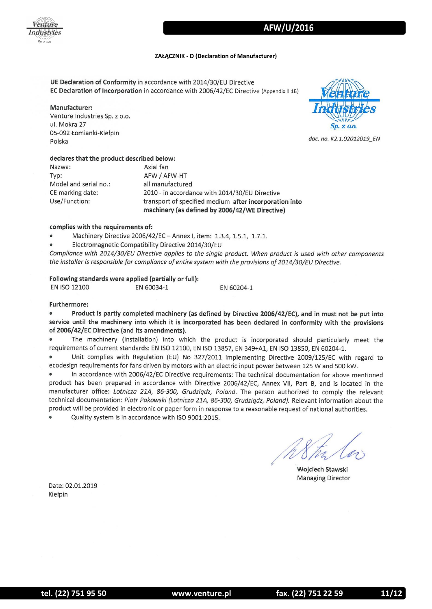

# **ZAŁĄCZNIK - D (Declaration of Manufacturer)**

UE Declaration of Conformity in accordance with 2014/30/EU Directive EC Declaration of Incorporation in accordance with 2006/42/EC Directive (Appendix II 1B)

Manufacturer: Venture Industries Sp. z o.o. ul. Mokra 27 05-092 Łomianki-Kiełpin Polska

Sp. z o.o.

doc. no. K2.1.02012019\_EN

# declares that the product described below:

Nazwa: Typ: Model and serial no.: CE marking date: Use/Function:

Axial fan AFW / AFW-HT all manufactured 2010 - in accordance with 2014/30/EU Directive transport of specified medium after incorporation into machinery (as defined by 2006/42/WE Directive)

# complies with the requirements of:

- Machinery Directive 2006/42/EC Annex I, item: 1.3.4, 1.5.1, 1.7.1.
- Electromagnetic Compatibility Directive 2014/30/EU

Compliance with 2014/30/EU Directive applies to the single product. When product is used with other components the installer is responsible for compliance of entire system with the provisions of 2014/30/EU Directive.

EN 60204-1

Following standards were applied (partially or full): **EN ISO 12100** EN 60034-1

Furthermore:

Product is partly completed machinery (as defined by Directive 2006/42/EC), and in must not be put into  $\bullet$ service until the machinery into which it is incorporated has been declared in conformity with the provisions of 2006/42/EC Directive (and its amendments).

The machinery (installation) into which the product is incorporated should particularly meet the requirements of current standards: EN ISO 12100, EN ISO 13857, EN 349+A1, EN ISO 13850, EN 60204-1.

Unit complies with Regulation (EU) No 327/2011 implementing Directive 2009/125/EC with regard to ecodesign requirements for fans driven by motors with an electric input power between 125 W and 500 kW.

In accordance with 2006/42/EC Directive requirements: The technical documentation for above mentioned product has been prepared in accordance with Directive 2006/42/EC, Annex VII, Part B, and is located in the manufacturer office: Lotnicza 21A, 86-300, Grudziądz, Poland. The person authorized to comply the relevant technical documentation: Piotr Pakowski (Lotnicza 21A, 86-300, Grudzigdz, Poland). Relevant information about the product will be provided in electronic or paper form in response to a reasonable request of national authorities.

Quality system is in accordance with ISO 9001:2015.

Wojciech Stawski **Managing Director** 

Date: 02.01.2019 Kiełpin